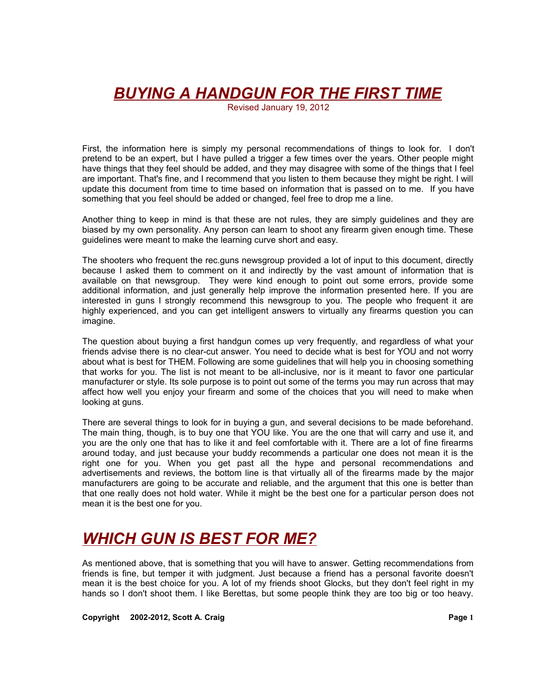Revised January 19, 2012

First, the information here is simply my personal recommendations of things to look for. I don't pretend to be an expert, but I have pulled a trigger a few times over the years. Other people might have things that they feel should be added, and they may disagree with some of the things that I feel are important. That's fine, and I recommend that you listen to them because they might be right. I will update this document from time to time based on information that is passed on to me. If you have something that you feel should be added or changed, feel free to drop me a line.

Another thing to keep in mind is that these are not rules, they are simply guidelines and they are biased by my own personality. Any person can learn to shoot any firearm given enough time. These guidelines were meant to make the learning curve short and easy.

The shooters who frequent the rec.guns newsgroup provided a lot of input to this document, directly because I asked them to comment on it and indirectly by the vast amount of information that is available on that newsgroup. They were kind enough to point out some errors, provide some additional information, and just generally help improve the information presented here. If you are interested in guns I strongly recommend this newsgroup to you. The people who frequent it are highly experienced, and you can get intelligent answers to virtually any firearms question you can imagine.

The question about buying a first handgun comes up very frequently, and regardless of what your friends advise there is no clear-cut answer. You need to decide what is best for YOU and not worry about what is best for THEM. Following are some guidelines that will help you in choosing something that works for you. The list is not meant to be all-inclusive, nor is it meant to favor one particular manufacturer or style. Its sole purpose is to point out some of the terms you may run across that may affect how well you enjoy your firearm and some of the choices that you will need to make when looking at guns.

There are several things to look for in buying a gun, and several decisions to be made beforehand. The main thing, though, is to buy one that YOU like. You are the one that will carry and use it, and you are the only one that has to like it and feel comfortable with it. There are a lot of fine firearms around today, and just because your buddy recommends a particular one does not mean it is the right one for you. When you get past all the hype and personal recommendations and advertisements and reviews, the bottom line is that virtually all of the firearms made by the major manufacturers are going to be accurate and reliable, and the argument that this one is better than that one really does not hold water. While it might be the best one for a particular person does not mean it is the best one for you.

# *WHICH GUN IS BEST FOR ME?*

As mentioned above, that is something that you will have to answer. Getting recommendations from friends is fine, but temper it with judgment. Just because a friend has a personal favorite doesn't mean it is the best choice for you. A lot of my friends shoot Glocks, but they don't feel right in my hands so I don't shoot them. I like Berettas, but some people think they are too big or too heavy.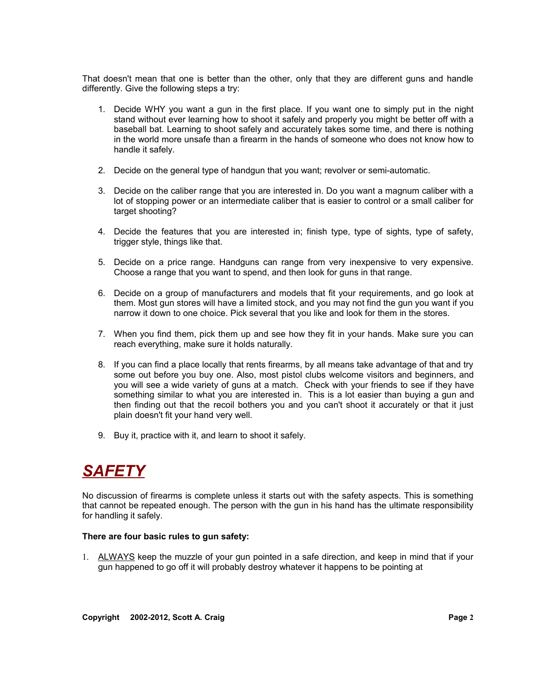That doesn't mean that one is better than the other, only that they are different guns and handle differently. Give the following steps a try:

- 1. Decide WHY you want a gun in the first place. If you want one to simply put in the night stand without ever learning how to shoot it safely and properly you might be better off with a baseball bat. Learning to shoot safely and accurately takes some time, and there is nothing in the world more unsafe than a firearm in the hands of someone who does not know how to handle it safely.
- 2. Decide on the general type of handgun that you want; revolver or semi-automatic.
- 3. Decide on the caliber range that you are interested in. Do you want a magnum caliber with a lot of stopping power or an intermediate caliber that is easier to control or a small caliber for target shooting?
- 4. Decide the features that you are interested in; finish type, type of sights, type of safety, trigger style, things like that.
- 5. Decide on a price range. Handguns can range from very inexpensive to very expensive. Choose a range that you want to spend, and then look for guns in that range.
- 6. Decide on a group of manufacturers and models that fit your requirements, and go look at them. Most gun stores will have a limited stock, and you may not find the gun you want if you narrow it down to one choice. Pick several that you like and look for them in the stores.
- 7. When you find them, pick them up and see how they fit in your hands. Make sure you can reach everything, make sure it holds naturally.
- 8. If you can find a place locally that rents firearms, by all means take advantage of that and try some out before you buy one. Also, most pistol clubs welcome visitors and beginners, and you will see a wide variety of guns at a match. Check with your friends to see if they have something similar to what you are interested in. This is a lot easier than buying a gun and then finding out that the recoil bothers you and you can't shoot it accurately or that it just plain doesn't fit your hand very well.
- 9. Buy it, practice with it, and learn to shoot it safely.

# *SAFETY*

No discussion of firearms is complete unless it starts out with the safety aspects. This is something that cannot be repeated enough. The person with the gun in his hand has the ultimate responsibility for handling it safely.

#### **There are four basic rules to gun safety:**

1. ALWAYS keep the muzzle of your gun pointed in a safe direction, and keep in mind that if your gun happened to go off it will probably destroy whatever it happens to be pointing at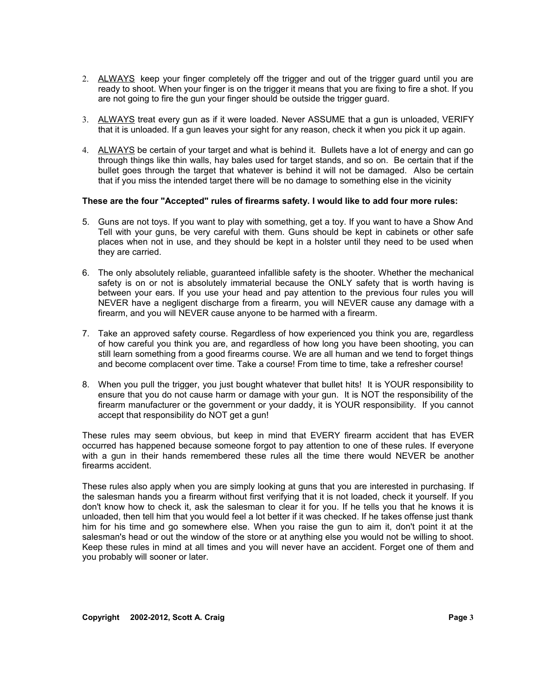- 2. ALWAYS keep your finger completely off the trigger and out of the trigger guard until you are ready to shoot. When your finger is on the trigger it means that you are fixing to fire a shot. If you are not going to fire the gun your finger should be outside the trigger guard.
- 3. ALWAYS treat every gun as if it were loaded. Never ASSUME that a gun is unloaded, VERIFY that it is unloaded. If a gun leaves your sight for any reason, check it when you pick it up again.
- 4. ALWAYS be certain of your target and what is behind it. Bullets have a lot of energy and can go through things like thin walls, hay bales used for target stands, and so on. Be certain that if the bullet goes through the target that whatever is behind it will not be damaged. Also be certain that if you miss the intended target there will be no damage to something else in the vicinity

#### **These are the four "Accepted" rules of firearms safety. I would like to add four more rules:**

- 5. Guns are not toys. If you want to play with something, get a toy. If you want to have a Show And Tell with your guns, be very careful with them. Guns should be kept in cabinets or other safe places when not in use, and they should be kept in a holster until they need to be used when they are carried.
- 6. The only absolutely reliable, guaranteed infallible safety is the shooter. Whether the mechanical safety is on or not is absolutely immaterial because the ONLY safety that is worth having is between your ears. If you use your head and pay attention to the previous four rules you will NEVER have a negligent discharge from a firearm, you will NEVER cause any damage with a firearm, and you will NEVER cause anyone to be harmed with a firearm.
- 7. Take an approved safety course. Regardless of how experienced you think you are, regardless of how careful you think you are, and regardless of how long you have been shooting, you can still learn something from a good firearms course. We are all human and we tend to forget things and become complacent over time. Take a course! From time to time, take a refresher course!
- 8. When you pull the trigger, you just bought whatever that bullet hits! It is YOUR responsibility to ensure that you do not cause harm or damage with your gun. It is NOT the responsibility of the firearm manufacturer or the government or your daddy, it is YOUR responsibility. If you cannot accept that responsibility do NOT get a gun!

These rules may seem obvious, but keep in mind that EVERY firearm accident that has EVER occurred has happened because someone forgot to pay attention to one of these rules. If everyone with a gun in their hands remembered these rules all the time there would NEVER be another firearms accident.

These rules also apply when you are simply looking at guns that you are interested in purchasing. If the salesman hands you a firearm without first verifying that it is not loaded, check it yourself. If you don't know how to check it, ask the salesman to clear it for you. If he tells you that he knows it is unloaded, then tell him that you would feel a lot better if it was checked. If he takes offense just thank him for his time and go somewhere else. When you raise the gun to aim it, don't point it at the salesman's head or out the window of the store or at anything else you would not be willing to shoot. Keep these rules in mind at all times and you will never have an accident. Forget one of them and you probably will sooner or later.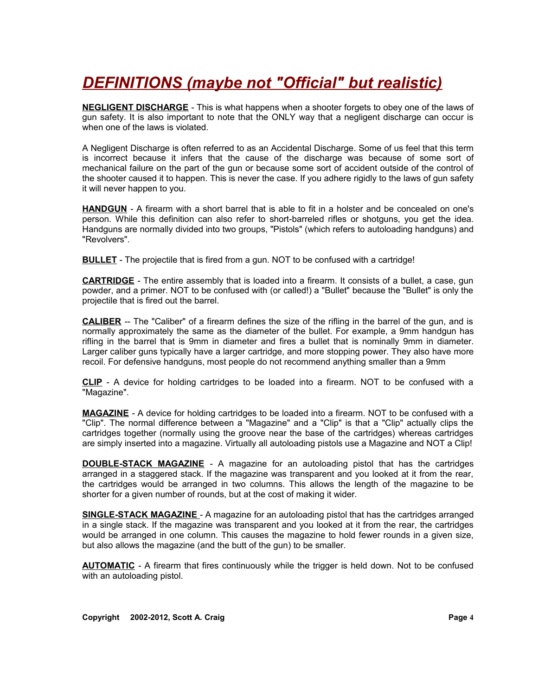# *DEFINITIONS (maybe not "Official" but realistic)*

**NEGLIGENT DISCHARGE** - This is what happens when a shooter forgets to obey one of the laws of gun safety. It is also important to note that the ONLY way that a negligent discharge can occur is when one of the laws is violated.

A Negligent Discharge is often referred to as an Accidental Discharge. Some of us feel that this term is incorrect because it infers that the cause of the discharge was because of some sort of mechanical failure on the part of the gun or because some sort of accident outside of the control of the shooter caused it to happen. This is never the case. If you adhere rigidly to the laws of gun safety it will never happen to you.

**HANDGUN** - A firearm with a short barrel that is able to fit in a holster and be concealed on one's person. While this definition can also refer to short-barreled rifles or shotguns, you get the idea. Handguns are normally divided into two groups, "Pistols" (which refers to autoloading handguns) and "Revolvers".

**BULLET** - The projectile that is fired from a gun. NOT to be confused with a cartridge!

**CARTRIDGE** - The entire assembly that is loaded into a firearm. It consists of a bullet, a case, gun powder, and a primer. NOT to be confused with (or called!) a "Bullet" because the "Bullet" is only the projectile that is fired out the barrel.

**CALIBER** -- The "Caliber" of a firearm defines the size of the rifling in the barrel of the gun, and is normally approximately the same as the diameter of the bullet. For example, a 9mm handgun has rifling in the barrel that is 9mm in diameter and fires a bullet that is nominally 9mm in diameter. Larger caliber guns typically have a larger cartridge, and more stopping power. They also have more recoil. For defensive handguns, most people do not recommend anything smaller than a 9mm

**CLIP** - A device for holding cartridges to be loaded into a firearm. NOT to be confused with a "Magazine".

**MAGAZINE** - A device for holding cartridges to be loaded into a firearm. NOT to be confused with a "Clip". The normal difference between a "Magazine" and a "Clip" is that a "Clip" actually clips the cartridges together (normally using the groove near the base of the cartridges) whereas cartridges are simply inserted into a magazine. Virtually all autoloading pistols use a Magazine and NOT a Clip!

**DOUBLE-STACK MAGAZINE** - A magazine for an autoloading pistol that has the cartridges arranged in a staggered stack. If the magazine was transparent and you looked at it from the rear, the cartridges would be arranged in two columns. This allows the length of the magazine to be shorter for a given number of rounds, but at the cost of making it wider.

**SINGLE-STACK MAGAZINE** - A magazine for an autoloading pistol that has the cartridges arranged in a single stack. If the magazine was transparent and you looked at it from the rear, the cartridges would be arranged in one column. This causes the magazine to hold fewer rounds in a given size, but also allows the magazine (and the butt of the gun) to be smaller.

**AUTOMATIC** - A firearm that fires continuously while the trigger is held down. Not to be confused with an autoloading pistol.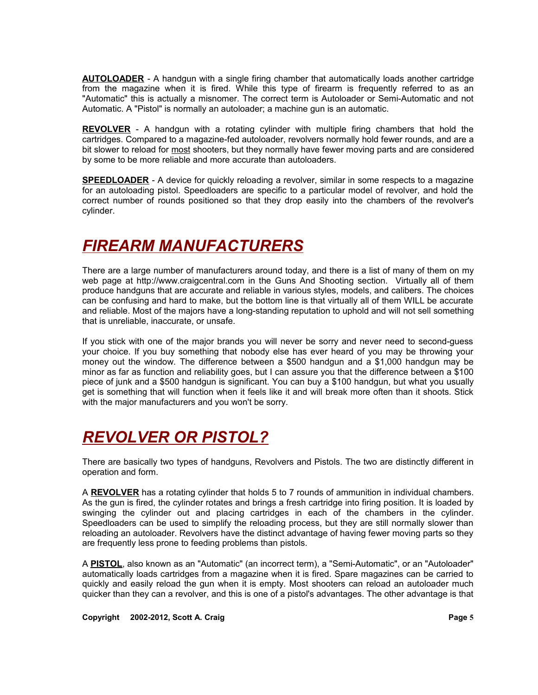**AUTOLOADER** - A handgun with a single firing chamber that automatically loads another cartridge from the magazine when it is fired. While this type of firearm is frequently referred to as an "Automatic" this is actually a misnomer. The correct term is Autoloader or Semi-Automatic and not Automatic. A "Pistol" is normally an autoloader; a machine gun is an automatic.

**REVOLVER** - A handgun with a rotating cylinder with multiple firing chambers that hold the cartridges. Compared to a magazine-fed autoloader, revolvers normally hold fewer rounds, and are a bit slower to reload for most shooters, but they normally have fewer moving parts and are considered by some to be more reliable and more accurate than autoloaders.

**SPEEDLOADER** - A device for quickly reloading a revolver, similar in some respects to a magazine for an autoloading pistol. Speedloaders are specific to a particular model of revolver, and hold the correct number of rounds positioned so that they drop easily into the chambers of the revolver's cylinder.

# *FIREARM MANUFACTURERS*

There are a large number of manufacturers around today, and there is a list of many of them on my web page at http://www.craigcentral.com in the Guns And Shooting section. Virtually all of them produce handguns that are accurate and reliable in various styles, models, and calibers. The choices can be confusing and hard to make, but the bottom line is that virtually all of them WILL be accurate and reliable. Most of the majors have a long-standing reputation to uphold and will not sell something that is unreliable, inaccurate, or unsafe.

If you stick with one of the major brands you will never be sorry and never need to second-guess your choice. If you buy something that nobody else has ever heard of you may be throwing your money out the window. The difference between a \$500 handgun and a \$1,000 handgun may be minor as far as function and reliability goes, but I can assure you that the difference between a \$100 piece of junk and a \$500 handgun is significant. You can buy a \$100 handgun, but what you usually get is something that will function when it feels like it and will break more often than it shoots. Stick with the major manufacturers and you won't be sorry.

# *REVOLVER OR PISTOL?*

There are basically two types of handguns, Revolvers and Pistols. The two are distinctly different in operation and form.

A **REVOLVER** has a rotating cylinder that holds 5 to 7 rounds of ammunition in individual chambers. As the gun is fired, the cylinder rotates and brings a fresh cartridge into firing position. It is loaded by swinging the cylinder out and placing cartridges in each of the chambers in the cylinder. Speedloaders can be used to simplify the reloading process, but they are still normally slower than reloading an autoloader. Revolvers have the distinct advantage of having fewer moving parts so they are frequently less prone to feeding problems than pistols.

A **PISTOL**, also known as an "Automatic" (an incorrect term), a "Semi-Automatic", or an "Autoloader" automatically loads cartridges from a magazine when it is fired. Spare magazines can be carried to quickly and easily reload the gun when it is empty. Most shooters can reload an autoloader much quicker than they can a revolver, and this is one of a pistol's advantages. The other advantage is that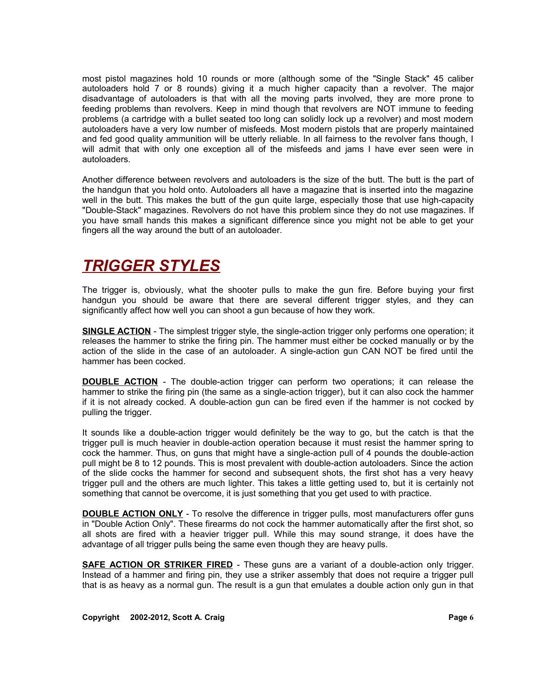most pistol magazines hold 10 rounds or more (although some of the "Single Stack" 45 caliber autoloaders hold 7 or 8 rounds) giving it a much higher capacity than a revolver. The major disadvantage of autoloaders is that with all the moving parts involved, they are more prone to feeding problems than revolvers. Keep in mind though that revolvers are NOT immune to feeding problems (a cartridge with a bullet seated too long can solidly lock up a revolver) and most modern autoloaders have a very low number of misfeeds. Most modern pistols that are properly maintained and fed good quality ammunition will be utterly reliable. In all fairness to the revolver fans though, I will admit that with only one exception all of the misfeeds and jams I have ever seen were in autoloaders.

Another difference between revolvers and autoloaders is the size of the butt. The butt is the part of the handgun that you hold onto. Autoloaders all have a magazine that is inserted into the magazine well in the butt. This makes the butt of the gun quite large, especially those that use high-capacity "Double-Stack" magazines. Revolvers do not have this problem since they do not use magazines. If you have small hands this makes a significant difference since you might not be able to get your fingers all the way around the butt of an autoloader.

# *TRIGGER STYLES*

The trigger is, obviously, what the shooter pulls to make the gun fire. Before buying your first handgun you should be aware that there are several different trigger styles, and they can significantly affect how well you can shoot a gun because of how they work.

**SINGLE ACTION** - The simplest trigger style, the single-action trigger only performs one operation; it releases the hammer to strike the firing pin. The hammer must either be cocked manually or by the action of the slide in the case of an autoloader. A single-action gun CAN NOT be fired until the hammer has been cocked.

**DOUBLE ACTION** - The double-action trigger can perform two operations; it can release the hammer to strike the firing pin (the same as a single-action trigger), but it can also cock the hammer if it is not already cocked. A double-action gun can be fired even if the hammer is not cocked by pulling the trigger.

It sounds like a double-action trigger would definitely be the way to go, but the catch is that the trigger pull is much heavier in double-action operation because it must resist the hammer spring to cock the hammer. Thus, on guns that might have a single-action pull of 4 pounds the double-action pull might be 8 to 12 pounds. This is most prevalent with double-action autoloaders. Since the action of the slide cocks the hammer for second and subsequent shots, the first shot has a very heavy trigger pull and the others are much lighter. This takes a little getting used to, but it is certainly not something that cannot be overcome, it is just something that you get used to with practice.

**DOUBLE ACTION ONLY** - To resolve the difference in trigger pulls, most manufacturers offer guns in "Double Action Only". These firearms do not cock the hammer automatically after the first shot, so all shots are fired with a heavier trigger pull. While this may sound strange, it does have the advantage of all trigger pulls being the same even though they are heavy pulls.

**SAFE ACTION OR STRIKER FIRED** - These guns are a variant of a double-action only trigger. Instead of a hammer and firing pin, they use a striker assembly that does not require a trigger pull that is as heavy as a normal gun. The result is a gun that emulates a double action only gun in that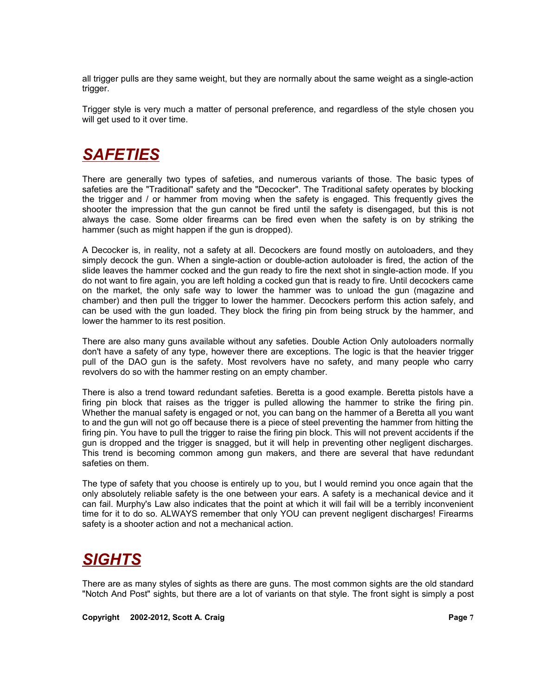all trigger pulls are they same weight, but they are normally about the same weight as a single-action trigger.

Trigger style is very much a matter of personal preference, and regardless of the style chosen you will get used to it over time.

## *SAFETIES*

There are generally two types of safeties, and numerous variants of those. The basic types of safeties are the "Traditional" safety and the "Decocker". The Traditional safety operates by blocking the trigger and / or hammer from moving when the safety is engaged. This frequently gives the shooter the impression that the gun cannot be fired until the safety is disengaged, but this is not always the case. Some older firearms can be fired even when the safety is on by striking the hammer (such as might happen if the gun is dropped).

A Decocker is, in reality, not a safety at all. Decockers are found mostly on autoloaders, and they simply decock the gun. When a single-action or double-action autoloader is fired, the action of the slide leaves the hammer cocked and the gun ready to fire the next shot in single-action mode. If you do not want to fire again, you are left holding a cocked gun that is ready to fire. Until decockers came on the market, the only safe way to lower the hammer was to unload the gun (magazine and chamber) and then pull the trigger to lower the hammer. Decockers perform this action safely, and can be used with the gun loaded. They block the firing pin from being struck by the hammer, and lower the hammer to its rest position.

There are also many guns available without any safeties. Double Action Only autoloaders normally don't have a safety of any type, however there are exceptions. The logic is that the heavier trigger pull of the DAO gun is the safety. Most revolvers have no safety, and many people who carry revolvers do so with the hammer resting on an empty chamber.

There is also a trend toward redundant safeties. Beretta is a good example. Beretta pistols have a firing pin block that raises as the trigger is pulled allowing the hammer to strike the firing pin. Whether the manual safety is engaged or not, you can bang on the hammer of a Beretta all you want to and the gun will not go off because there is a piece of steel preventing the hammer from hitting the firing pin. You have to pull the trigger to raise the firing pin block. This will not prevent accidents if the gun is dropped and the trigger is snagged, but it will help in preventing other negligent discharges. This trend is becoming common among gun makers, and there are several that have redundant safeties on them.

The type of safety that you choose is entirely up to you, but I would remind you once again that the only absolutely reliable safety is the one between your ears. A safety is a mechanical device and it can fail. Murphy's Law also indicates that the point at which it will fail will be a terribly inconvenient time for it to do so. ALWAYS remember that only YOU can prevent negligent discharges! Firearms safety is a shooter action and not a mechanical action.

## *SIGHTS*

There are as many styles of sights as there are guns. The most common sights are the old standard "Notch And Post" sights, but there are a lot of variants on that style. The front sight is simply a post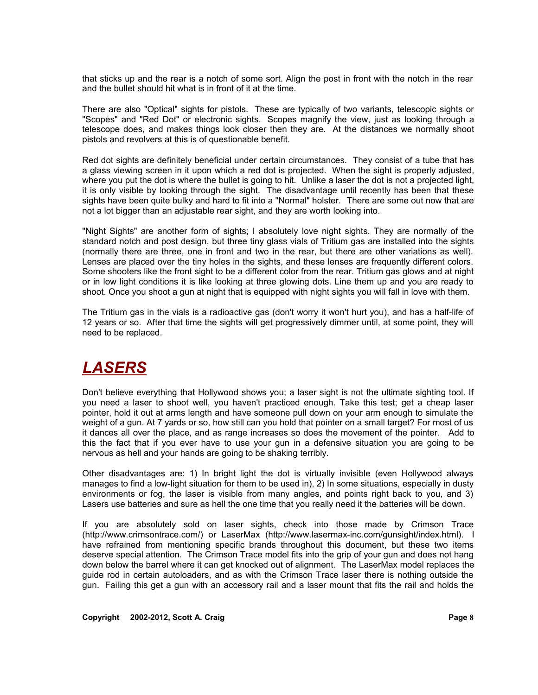that sticks up and the rear is a notch of some sort. Align the post in front with the notch in the rear and the bullet should hit what is in front of it at the time.

There are also "Optical" sights for pistols. These are typically of two variants, telescopic sights or "Scopes" and "Red Dot" or electronic sights. Scopes magnify the view, just as looking through a telescope does, and makes things look closer then they are. At the distances we normally shoot pistols and revolvers at this is of questionable benefit.

Red dot sights are definitely beneficial under certain circumstances. They consist of a tube that has a glass viewing screen in it upon which a red dot is projected. When the sight is properly adjusted, where you put the dot is where the bullet is going to hit. Unlike a laser the dot is not a projected light, it is only visible by looking through the sight. The disadvantage until recently has been that these sights have been quite bulky and hard to fit into a "Normal" holster. There are some out now that are not a lot bigger than an adjustable rear sight, and they are worth looking into.

"Night Sights" are another form of sights; I absolutely love night sights. They are normally of the standard notch and post design, but three tiny glass vials of Tritium gas are installed into the sights (normally there are three, one in front and two in the rear, but there are other variations as well). Lenses are placed over the tiny holes in the sights, and these lenses are frequently different colors. Some shooters like the front sight to be a different color from the rear. Tritium gas glows and at night or in low light conditions it is like looking at three glowing dots. Line them up and you are ready to shoot. Once you shoot a gun at night that is equipped with night sights you will fall in love with them.

The Tritium gas in the vials is a radioactive gas (don't worry it won't hurt you), and has a half-life of 12 years or so. After that time the sights will get progressively dimmer until, at some point, they will need to be replaced.

# *LASERS*

Don't believe everything that Hollywood shows you; a laser sight is not the ultimate sighting tool. If you need a laser to shoot well, you haven't practiced enough. Take this test; get a cheap laser pointer, hold it out at arms length and have someone pull down on your arm enough to simulate the weight of a gun. At 7 yards or so, how still can you hold that pointer on a small target? For most of us it dances all over the place, and as range increases so does the movement of the pointer. Add to this the fact that if you ever have to use your gun in a defensive situation you are going to be nervous as hell and your hands are going to be shaking terribly.

Other disadvantages are: 1) In bright light the dot is virtually invisible (even Hollywood always manages to find a low-light situation for them to be used in), 2) In some situations, especially in dusty environments or fog, the laser is visible from many angles, and points right back to you, and 3) Lasers use batteries and sure as hell the one time that you really need it the batteries will be down.

If you are absolutely sold on laser sights, check into those made by Crimson Trace (http://www.crimsontrace.com/) or LaserMax (http://www.lasermax-inc.com/gunsight/index.html). I have refrained from mentioning specific brands throughout this document, but these two items deserve special attention. The Crimson Trace model fits into the grip of your gun and does not hang down below the barrel where it can get knocked out of alignment. The LaserMax model replaces the guide rod in certain autoloaders, and as with the Crimson Trace laser there is nothing outside the gun. Failing this get a gun with an accessory rail and a laser mount that fits the rail and holds the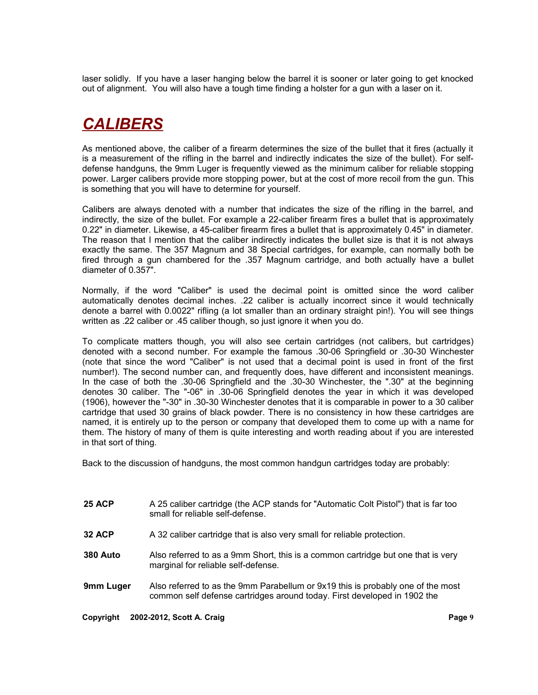laser solidly. If you have a laser hanging below the barrel it is sooner or later going to get knocked out of alignment. You will also have a tough time finding a holster for a gun with a laser on it.

# *CALIBERS*

As mentioned above, the caliber of a firearm determines the size of the bullet that it fires (actually it is a measurement of the rifling in the barrel and indirectly indicates the size of the bullet). For selfdefense handguns, the 9mm Luger is frequently viewed as the minimum caliber for reliable stopping power. Larger calibers provide more stopping power, but at the cost of more recoil from the gun. This is something that you will have to determine for yourself.

Calibers are always denoted with a number that indicates the size of the rifling in the barrel, and indirectly, the size of the bullet. For example a 22-caliber firearm fires a bullet that is approximately 0.22" in diameter. Likewise, a 45-caliber firearm fires a bullet that is approximately 0.45" in diameter. The reason that I mention that the caliber indirectly indicates the bullet size is that it is not always exactly the same. The 357 Magnum and 38 Special cartridges, for example, can normally both be fired through a gun chambered for the .357 Magnum cartridge, and both actually have a bullet diameter of 0.357".

Normally, if the word "Caliber" is used the decimal point is omitted since the word caliber automatically denotes decimal inches. .22 caliber is actually incorrect since it would technically denote a barrel with 0.0022" rifling (a lot smaller than an ordinary straight pin!). You will see things written as .22 caliber or .45 caliber though, so just ignore it when you do.

To complicate matters though, you will also see certain cartridges (not calibers, but cartridges) denoted with a second number. For example the famous .30-06 Springfield or .30-30 Winchester (note that since the word "Caliber" is not used that a decimal point is used in front of the first number!). The second number can, and frequently does, have different and inconsistent meanings. In the case of both the .30-06 Springfield and the .30-30 Winchester, the ".30" at the beginning denotes 30 caliber. The "-06" in .30-06 Springfield denotes the year in which it was developed (1906), however the "-30" in .30-30 Winchester denotes that it is comparable in power to a 30 caliber cartridge that used 30 grains of black powder. There is no consistency in how these cartridges are named, it is entirely up to the person or company that developed them to come up with a name for them. The history of many of them is quite interesting and worth reading about if you are interested in that sort of thing.

Back to the discussion of handguns, the most common handgun cartridges today are probably:

- **25 ACP** A 25 caliber cartridge (the ACP stands for "Automatic Colt Pistol") that is far too small for reliable self-defense.
- **32 ACP** A 32 caliber cartridge that is also very small for reliable protection.
- **380 Auto** Also referred to as a 9mm Short, this is a common cartridge but one that is very marginal for reliable self-defense.
- **9mm Luger** Also referred to as the 9mm Parabellum or 9x19 this is probably one of the most common self defense cartridges around today. First developed in 1902 the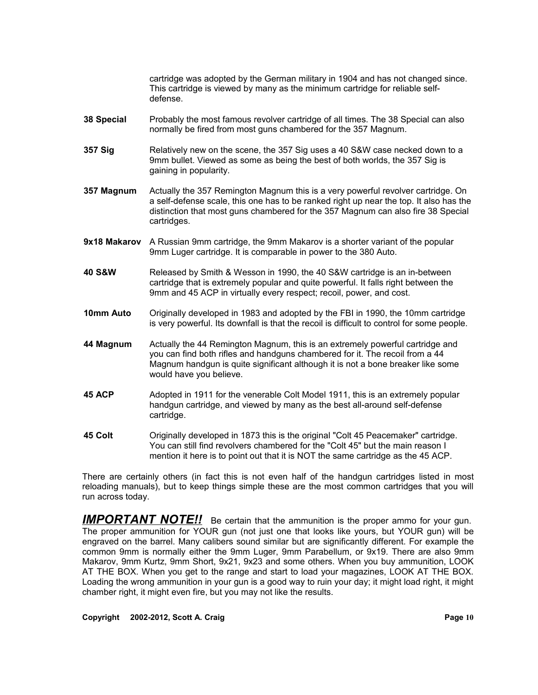cartridge was adopted by the German military in 1904 and has not changed since. This cartridge is viewed by many as the minimum cartridge for reliable selfdefense.

- **38 Special** Probably the most famous revolver cartridge of all times. The 38 Special can also normally be fired from most guns chambered for the 357 Magnum.
- **357 Sig** Relatively new on the scene, the 357 Sig uses a 40 S&W case necked down to a 9mm bullet. Viewed as some as being the best of both worlds, the 357 Sig is gaining in popularity.
- **357 Magnum** Actually the 357 Remington Magnum this is a very powerful revolver cartridge. On a self-defense scale, this one has to be ranked right up near the top. It also has the distinction that most guns chambered for the 357 Magnum can also fire 38 Special cartridges.
- **9x18 Makarov** A Russian 9mm cartridge, the 9mm Makarov is a shorter variant of the popular 9mm Luger cartridge. It is comparable in power to the 380 Auto.
- **40 S&W** Released by Smith & Wesson in 1990, the 40 S&W cartridge is an in-between cartridge that is extremely popular and quite powerful. It falls right between the 9mm and 45 ACP in virtually every respect; recoil, power, and cost.
- **10mm Auto** Originally developed in 1983 and adopted by the FBI in 1990, the 10mm cartridge is very powerful. Its downfall is that the recoil is difficult to control for some people.
- **44 Magnum** Actually the 44 Remington Magnum, this is an extremely powerful cartridge and you can find both rifles and handguns chambered for it. The recoil from a 44 Magnum handgun is quite significant although it is not a bone breaker like some would have you believe.
- **45 ACP** Adopted in 1911 for the venerable Colt Model 1911, this is an extremely popular handgun cartridge, and viewed by many as the best all-around self-defense cartridge.
- **45 Colt** Originally developed in 1873 this is the original "Colt 45 Peacemaker" cartridge. You can still find revolvers chambered for the "Colt 45" but the main reason I mention it here is to point out that it is NOT the same cartridge as the 45 ACP.

There are certainly others (in fact this is not even half of the handgun cartridges listed in most reloading manuals), but to keep things simple these are the most common cartridges that you will run across today.

**IMPORTANT NOTE!!** Be certain that the ammunition is the proper ammo for your gun. The proper ammunition for YOUR gun (not just one that looks like yours, but YOUR gun) will be engraved on the barrel. Many calibers sound similar but are significantly different. For example the common 9mm is normally either the 9mm Luger, 9mm Parabellum, or 9x19. There are also 9mm Makarov, 9mm Kurtz, 9mm Short, 9x21, 9x23 and some others. When you buy ammunition, LOOK AT THE BOX. When you get to the range and start to load your magazines, LOOK AT THE BOX. Loading the wrong ammunition in your gun is a good way to ruin your day; it might load right, it might chamber right, it might even fire, but you may not like the results.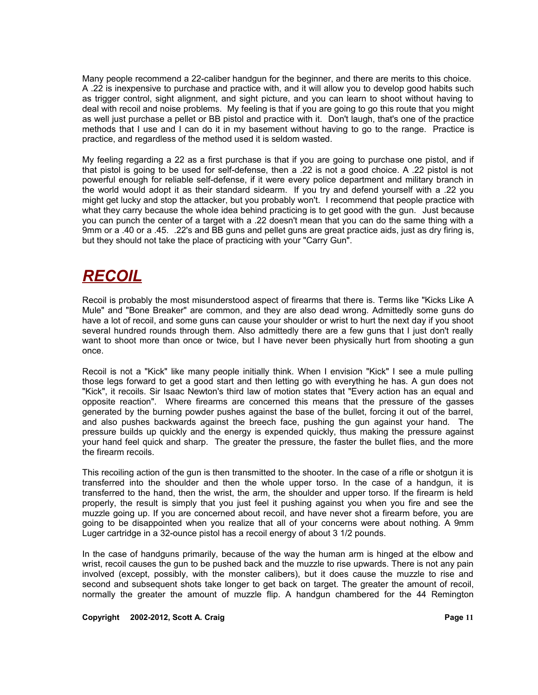Many people recommend a 22-caliber handgun for the beginner, and there are merits to this choice. A .22 is inexpensive to purchase and practice with, and it will allow you to develop good habits such as trigger control, sight alignment, and sight picture, and you can learn to shoot without having to deal with recoil and noise problems. My feeling is that if you are going to go this route that you might as well just purchase a pellet or BB pistol and practice with it. Don't laugh, that's one of the practice methods that I use and I can do it in my basement without having to go to the range. Practice is practice, and regardless of the method used it is seldom wasted.

My feeling regarding a 22 as a first purchase is that if you are going to purchase one pistol, and if that pistol is going to be used for self-defense, then a .22 is not a good choice. A .22 pistol is not powerful enough for reliable self-defense, if it were every police department and military branch in the world would adopt it as their standard sidearm. If you try and defend yourself with a .22 you might get lucky and stop the attacker, but you probably won't. I recommend that people practice with what they carry because the whole idea behind practicing is to get good with the gun. Just because you can punch the center of a target with a .22 doesn't mean that you can do the same thing with a 9mm or a .40 or a .45. .22's and BB guns and pellet guns are great practice aids, just as dry firing is, but they should not take the place of practicing with your "Carry Gun".

## *RECOIL*

Recoil is probably the most misunderstood aspect of firearms that there is. Terms like "Kicks Like A Mule" and "Bone Breaker" are common, and they are also dead wrong. Admittedly some guns do have a lot of recoil, and some guns can cause your shoulder or wrist to hurt the next day if you shoot several hundred rounds through them. Also admittedly there are a few guns that I just don't really want to shoot more than once or twice, but I have never been physically hurt from shooting a gun once.

Recoil is not a "Kick" like many people initially think. When I envision "Kick" I see a mule pulling those legs forward to get a good start and then letting go with everything he has. A gun does not "Kick", it recoils. Sir Isaac Newton's third law of motion states that "Every action has an equal and opposite reaction". Where firearms are concerned this means that the pressure of the gasses generated by the burning powder pushes against the base of the bullet, forcing it out of the barrel, and also pushes backwards against the breech face, pushing the gun against your hand. The pressure builds up quickly and the energy is expended quickly, thus making the pressure against your hand feel quick and sharp. The greater the pressure, the faster the bullet flies, and the more the firearm recoils.

This recoiling action of the gun is then transmitted to the shooter. In the case of a rifle or shotgun it is transferred into the shoulder and then the whole upper torso. In the case of a handgun, it is transferred to the hand, then the wrist, the arm, the shoulder and upper torso. If the firearm is held properly, the result is simply that you just feel it pushing against you when you fire and see the muzzle going up. If you are concerned about recoil, and have never shot a firearm before, you are going to be disappointed when you realize that all of your concerns were about nothing. A 9mm Luger cartridge in a 32-ounce pistol has a recoil energy of about 3 1/2 pounds.

In the case of handguns primarily, because of the way the human arm is hinged at the elbow and wrist, recoil causes the gun to be pushed back and the muzzle to rise upwards. There is not any pain involved (except, possibly, with the monster calibers), but it does cause the muzzle to rise and second and subsequent shots take longer to get back on target. The greater the amount of recoil, normally the greater the amount of muzzle flip. A handgun chambered for the 44 Remington

#### **Copyright © 2002-2012, Scott A. Craig <b>Page 11 Page 11**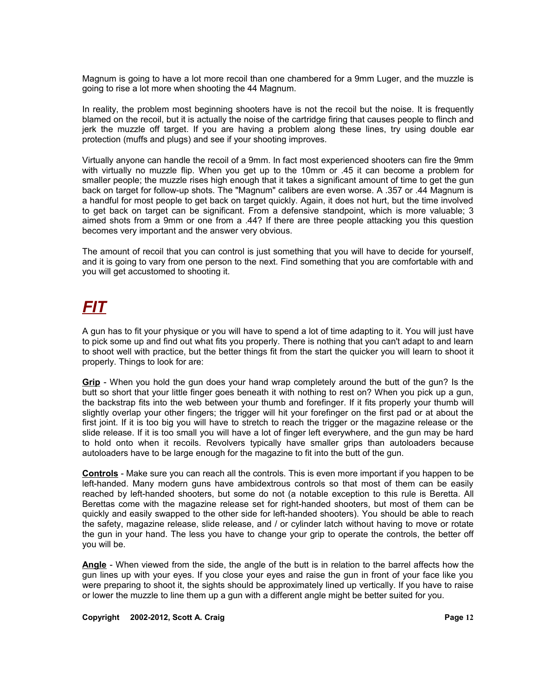Magnum is going to have a lot more recoil than one chambered for a 9mm Luger, and the muzzle is going to rise a lot more when shooting the 44 Magnum.

In reality, the problem most beginning shooters have is not the recoil but the noise. It is frequently blamed on the recoil, but it is actually the noise of the cartridge firing that causes people to flinch and jerk the muzzle off target. If you are having a problem along these lines, try using double ear protection (muffs and plugs) and see if your shooting improves.

Virtually anyone can handle the recoil of a 9mm. In fact most experienced shooters can fire the 9mm with virtually no muzzle flip. When you get up to the 10mm or .45 it can become a problem for smaller people; the muzzle rises high enough that it takes a significant amount of time to get the gun back on target for follow-up shots. The "Magnum" calibers are even worse. A .357 or .44 Magnum is a handful for most people to get back on target quickly. Again, it does not hurt, but the time involved to get back on target can be significant. From a defensive standpoint, which is more valuable; 3 aimed shots from a 9mm or one from a .44? If there are three people attacking you this question becomes very important and the answer very obvious.

The amount of recoil that you can control is just something that you will have to decide for yourself, and it is going to vary from one person to the next. Find something that you are comfortable with and you will get accustomed to shooting it.

# *FIT*

A gun has to fit your physique or you will have to spend a lot of time adapting to it. You will just have to pick some up and find out what fits you properly. There is nothing that you can't adapt to and learn to shoot well with practice, but the better things fit from the start the quicker you will learn to shoot it properly. Things to look for are:

**Grip** - When you hold the gun does your hand wrap completely around the butt of the gun? Is the butt so short that your little finger goes beneath it with nothing to rest on? When you pick up a gun, the backstrap fits into the web between your thumb and forefinger. If it fits properly your thumb will slightly overlap your other fingers; the trigger will hit your forefinger on the first pad or at about the first joint. If it is too big you will have to stretch to reach the trigger or the magazine release or the slide release. If it is too small you will have a lot of finger left everywhere, and the gun may be hard to hold onto when it recoils. Revolvers typically have smaller grips than autoloaders because autoloaders have to be large enough for the magazine to fit into the butt of the gun.

**Controls** - Make sure you can reach all the controls. This is even more important if you happen to be left-handed. Many modern guns have ambidextrous controls so that most of them can be easily reached by left-handed shooters, but some do not (a notable exception to this rule is Beretta. All Berettas come with the magazine release set for right-handed shooters, but most of them can be quickly and easily swapped to the other side for left-handed shooters). You should be able to reach the safety, magazine release, slide release, and / or cylinder latch without having to move or rotate the gun in your hand. The less you have to change your grip to operate the controls, the better off you will be.

**Angle** - When viewed from the side, the angle of the butt is in relation to the barrel affects how the gun lines up with your eyes. If you close your eyes and raise the gun in front of your face like you were preparing to shoot it, the sights should be approximately lined up vertically. If you have to raise or lower the muzzle to line them up a gun with a different angle might be better suited for you.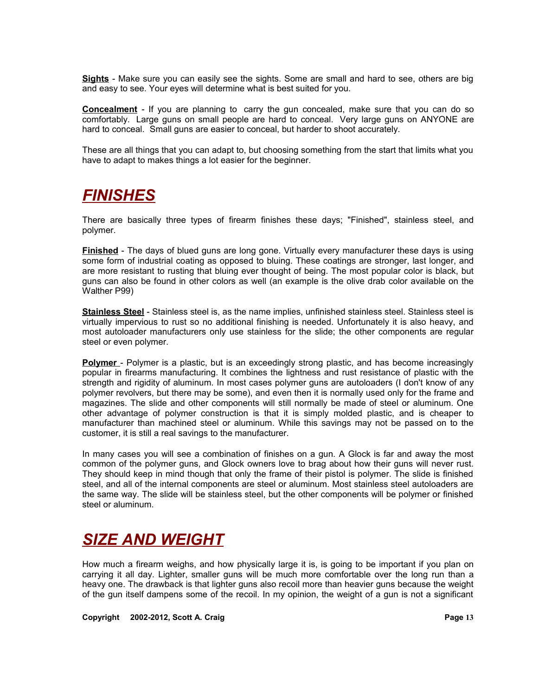**Sights** - Make sure you can easily see the sights. Some are small and hard to see, others are big and easy to see. Your eyes will determine what is best suited for you.

**Concealment** - If you are planning to carry the gun concealed, make sure that you can do so comfortably. Large guns on small people are hard to conceal. Very large guns on ANYONE are hard to conceal. Small guns are easier to conceal, but harder to shoot accurately.

These are all things that you can adapt to, but choosing something from the start that limits what you have to adapt to makes things a lot easier for the beginner.

## *FINISHES*

There are basically three types of firearm finishes these days; "Finished", stainless steel, and polymer.

**Finished** - The days of blued guns are long gone. Virtually every manufacturer these days is using some form of industrial coating as opposed to bluing. These coatings are stronger, last longer, and are more resistant to rusting that bluing ever thought of being. The most popular color is black, but guns can also be found in other colors as well (an example is the olive drab color available on the Walther P99)

**Stainless Steel** - Stainless steel is, as the name implies, unfinished stainless steel. Stainless steel is virtually impervious to rust so no additional finishing is needed. Unfortunately it is also heavy, and most autoloader manufacturers only use stainless for the slide; the other components are regular steel or even polymer.

**Polymer** - Polymer is a plastic, but is an exceedingly strong plastic, and has become increasingly popular in firearms manufacturing. It combines the lightness and rust resistance of plastic with the strength and rigidity of aluminum. In most cases polymer guns are autoloaders (I don't know of any polymer revolvers, but there may be some), and even then it is normally used only for the frame and magazines. The slide and other components will still normally be made of steel or aluminum. One other advantage of polymer construction is that it is simply molded plastic, and is cheaper to manufacturer than machined steel or aluminum. While this savings may not be passed on to the customer, it is still a real savings to the manufacturer.

In many cases you will see a combination of finishes on a gun. A Glock is far and away the most common of the polymer guns, and Glock owners love to brag about how their guns will never rust. They should keep in mind though that only the frame of their pistol is polymer. The slide is finished steel, and all of the internal components are steel or aluminum. Most stainless steel autoloaders are the same way. The slide will be stainless steel, but the other components will be polymer or finished steel or aluminum.

# *SIZE AND WEIGHT*

How much a firearm weighs, and how physically large it is, is going to be important if you plan on carrying it all day. Lighter, smaller guns will be much more comfortable over the long run than a heavy one. The drawback is that lighter guns also recoil more than heavier guns because the weight of the gun itself dampens some of the recoil. In my opinion, the weight of a gun is not a significant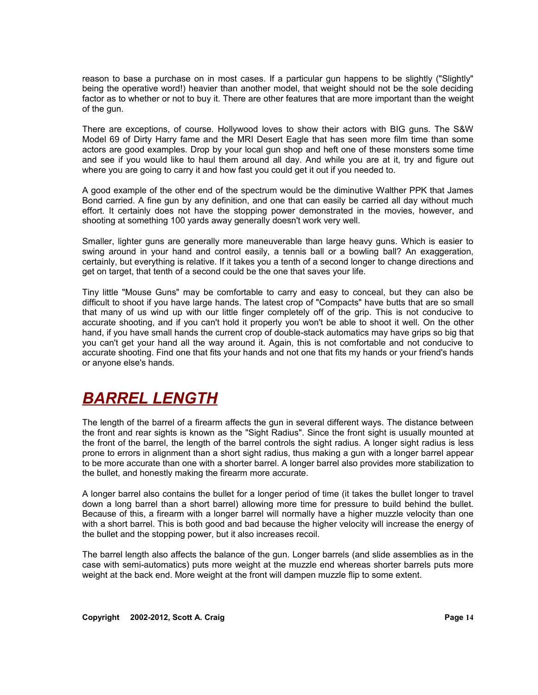reason to base a purchase on in most cases. If a particular gun happens to be slightly ("Slightly" being the operative word!) heavier than another model, that weight should not be the sole deciding factor as to whether or not to buy it. There are other features that are more important than the weight of the gun.

There are exceptions, of course. Hollywood loves to show their actors with BIG guns. The S&W Model 69 of Dirty Harry fame and the MRI Desert Eagle that has seen more film time than some actors are good examples. Drop by your local gun shop and heft one of these monsters some time and see if you would like to haul them around all day. And while you are at it, try and figure out where you are going to carry it and how fast you could get it out if you needed to.

A good example of the other end of the spectrum would be the diminutive Walther PPK that James Bond carried. A fine gun by any definition, and one that can easily be carried all day without much effort. It certainly does not have the stopping power demonstrated in the movies, however, and shooting at something 100 yards away generally doesn't work very well.

Smaller, lighter guns are generally more maneuverable than large heavy guns. Which is easier to swing around in your hand and control easily, a tennis ball or a bowling ball? An exaggeration, certainly, but everything is relative. If it takes you a tenth of a second longer to change directions and get on target, that tenth of a second could be the one that saves your life.

Tiny little "Mouse Guns" may be comfortable to carry and easy to conceal, but they can also be difficult to shoot if you have large hands. The latest crop of "Compacts" have butts that are so small that many of us wind up with our little finger completely off of the grip. This is not conducive to accurate shooting, and if you can't hold it properly you won't be able to shoot it well. On the other hand, if you have small hands the current crop of double-stack automatics may have grips so big that you can't get your hand all the way around it. Again, this is not comfortable and not conducive to accurate shooting. Find one that fits your hands and not one that fits my hands or your friend's hands or anyone else's hands.

## *BARREL LENGTH*

The length of the barrel of a firearm affects the gun in several different ways. The distance between the front and rear sights is known as the "Sight Radius". Since the front sight is usually mounted at the front of the barrel, the length of the barrel controls the sight radius. A longer sight radius is less prone to errors in alignment than a short sight radius, thus making a gun with a longer barrel appear to be more accurate than one with a shorter barrel. A longer barrel also provides more stabilization to the bullet, and honestly making the firearm more accurate.

A longer barrel also contains the bullet for a longer period of time (it takes the bullet longer to travel down a long barrel than a short barrel) allowing more time for pressure to build behind the bullet. Because of this, a firearm with a longer barrel will normally have a higher muzzle velocity than one with a short barrel. This is both good and bad because the higher velocity will increase the energy of the bullet and the stopping power, but it also increases recoil.

The barrel length also affects the balance of the gun. Longer barrels (and slide assemblies as in the case with semi-automatics) puts more weight at the muzzle end whereas shorter barrels puts more weight at the back end. More weight at the front will dampen muzzle flip to some extent.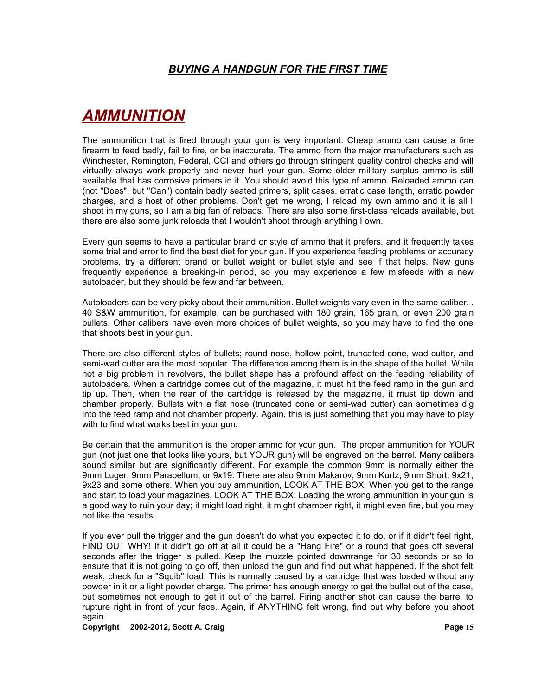# *AMMUNITION*

The ammunition that is fired through your gun is very important. Cheap ammo can cause a fine firearm to feed badly, fail to fire, or be inaccurate. The ammo from the major manufacturers such as Winchester, Remington, Federal, CCI and others go through stringent quality control checks and will virtually always work properly and never hurt your gun. Some older military surplus ammo is still available that has corrosive primers in it. You should avoid this type of ammo. Reloaded ammo can (not "Does", but "Can") contain badly seated primers, split cases, erratic case length, erratic powder charges, and a host of other problems. Don't get me wrong, I reload my own ammo and it is all I shoot in my guns, so I am a big fan of reloads. There are also some first-class reloads available, but there are also some junk reloads that I wouldn't shoot through anything I own.

Every gun seems to have a particular brand or style of ammo that it prefers, and it frequently takes some trial and error to find the best diet for your gun. If you experience feeding problems or accuracy problems, try a different brand or bullet weight or bullet style and see if that helps. New guns frequently experience a breaking-in period, so you may experience a few misfeeds with a new autoloader, but they should be few and far between.

Autoloaders can be very picky about their ammunition. Bullet weights vary even in the same caliber. . 40 S&W ammunition, for example, can be purchased with 180 grain, 165 grain, or even 200 grain bullets. Other calibers have even more choices of bullet weights, so you may have to find the one that shoots best in your gun.

There are also different styles of bullets; round nose, hollow point, truncated cone, wad cutter, and semi-wad cutter are the most popular. The difference among them is in the shape of the bullet. While not a big problem in revolvers, the bullet shape has a profound affect on the feeding reliability of autoloaders. When a cartridge comes out of the magazine, it must hit the feed ramp in the gun and tip up. Then, when the rear of the cartridge is released by the magazine, it must tip down and chamber properly. Bullets with a flat nose (truncated cone or semi-wad cutter) can sometimes dig into the feed ramp and not chamber properly. Again, this is just something that you may have to play with to find what works best in your gun.

Be certain that the ammunition is the proper ammo for your gun. The proper ammunition for YOUR gun (not just one that looks like yours, but YOUR gun) will be engraved on the barrel. Many calibers sound similar but are significantly different. For example the common 9mm is normally either the 9mm Luger, 9mm Parabellum, or 9x19. There are also 9mm Makarov, 9mm Kurtz, 9mm Short, 9x21, 9x23 and some others. When you buy ammunition, LOOK AT THE BOX. When you get to the range and start to load your magazines, LOOK AT THE BOX. Loading the wrong ammunition in your gun is a good way to ruin your day; it might load right, it might chamber right, it might even fire, but you may not like the results.

If you ever pull the trigger and the gun doesn't do what you expected it to do, or if it didn't feel right, FIND OUT WHY! If it didn't go off at all it could be a "Hang Fire" or a round that goes off several seconds after the trigger is pulled. Keep the muzzle pointed downrange for 30 seconds or so to ensure that it is not going to go off, then unload the gun and find out what happened. If the shot felt weak, check for a "Squib" load. This is normally caused by a cartridge that was loaded without any powder in it or a light powder charge. The primer has enough energy to get the bullet out of the case, but sometimes not enough to get it out of the barrel. Firing another shot can cause the barrel to rupture right in front of your face. Again, if ANYTHING felt wrong, find out why before you shoot again.

#### **Copyright 2002-2012, Scott A. Craig Page 15**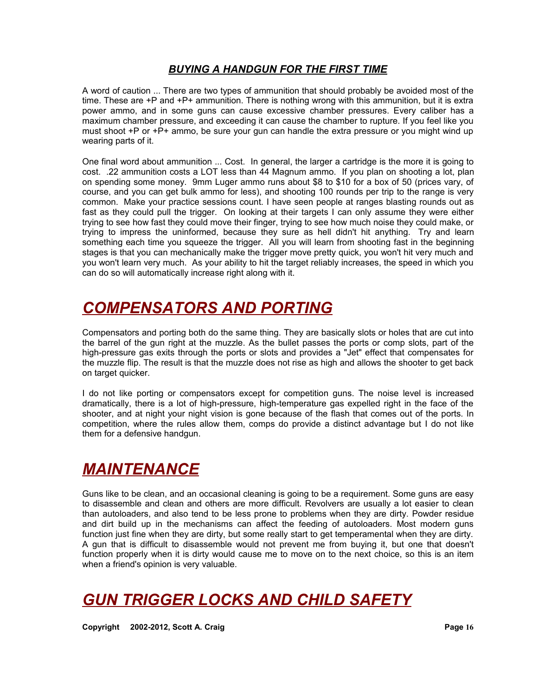A word of caution ... There are two types of ammunition that should probably be avoided most of the time. These are +P and +P+ ammunition. There is nothing wrong with this ammunition, but it is extra power ammo, and in some guns can cause excessive chamber pressures. Every caliber has a maximum chamber pressure, and exceeding it can cause the chamber to rupture. If you feel like you must shoot  $+P$  or  $+P+$  ammo, be sure your gun can handle the extra pressure or you might wind up wearing parts of it.

One final word about ammunition ... Cost. In general, the larger a cartridge is the more it is going to cost. .22 ammunition costs a LOT less than 44 Magnum ammo. If you plan on shooting a lot, plan on spending some money. 9mm Luger ammo runs about \$8 to \$10 for a box of 50 (prices vary, of course, and you can get bulk ammo for less), and shooting 100 rounds per trip to the range is very common. Make your practice sessions count. I have seen people at ranges blasting rounds out as fast as they could pull the trigger. On looking at their targets I can only assume they were either trying to see how fast they could move their finger, trying to see how much noise they could make, or trying to impress the uninformed, because they sure as hell didn't hit anything. Try and learn something each time you squeeze the trigger. All you will learn from shooting fast in the beginning stages is that you can mechanically make the trigger move pretty quick, you won't hit very much and you won't learn very much. As your ability to hit the target reliably increases, the speed in which you can do so will automatically increase right along with it.

# *COMPENSATORS AND PORTING*

Compensators and porting both do the same thing. They are basically slots or holes that are cut into the barrel of the gun right at the muzzle. As the bullet passes the ports or comp slots, part of the high-pressure gas exits through the ports or slots and provides a "Jet" effect that compensates for the muzzle flip. The result is that the muzzle does not rise as high and allows the shooter to get back on target quicker.

I do not like porting or compensators except for competition guns. The noise level is increased dramatically, there is a lot of high-pressure, high-temperature gas expelled right in the face of the shooter, and at night your night vision is gone because of the flash that comes out of the ports. In competition, where the rules allow them, comps do provide a distinct advantage but I do not like them for a defensive handgun.

# *MAINTENANCE*

Guns like to be clean, and an occasional cleaning is going to be a requirement. Some guns are easy to disassemble and clean and others are more difficult. Revolvers are usually a lot easier to clean than autoloaders, and also tend to be less prone to problems when they are dirty. Powder residue and dirt build up in the mechanisms can affect the feeding of autoloaders. Most modern guns function just fine when they are dirty, but some really start to get temperamental when they are dirty. A gun that is difficult to disassemble would not prevent me from buying it, but one that doesn't function properly when it is dirty would cause me to move on to the next choice, so this is an item when a friend's opinion is very valuable.

## *GUN TRIGGER LOCKS AND CHILD SAFETY*

**Copyright © 2002-2012, Scott A. Craig <b>Page 16 Page 16**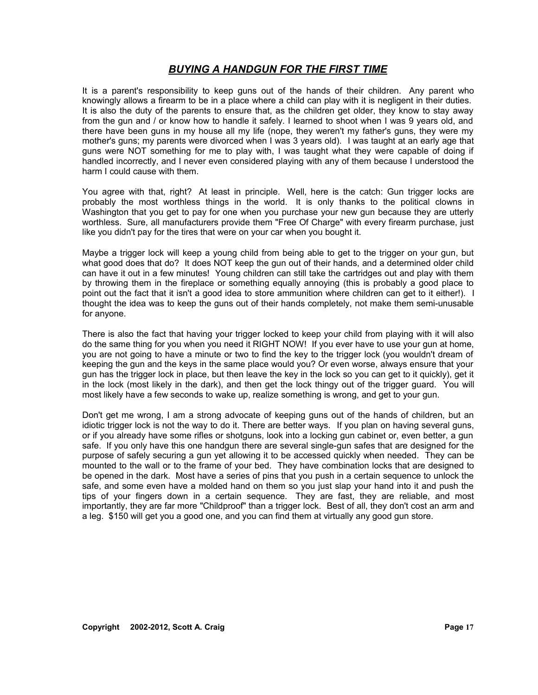It is a parent's responsibility to keep guns out of the hands of their children. Any parent who knowingly allows a firearm to be in a place where a child can play with it is negligent in their duties. It is also the duty of the parents to ensure that, as the children get older, they know to stay away from the gun and / or know how to handle it safely. I learned to shoot when I was 9 years old, and there have been guns in my house all my life (nope, they weren't my father's guns, they were my mother's guns; my parents were divorced when I was 3 years old). I was taught at an early age that guns were NOT something for me to play with, I was taught what they were capable of doing if handled incorrectly, and I never even considered playing with any of them because I understood the harm I could cause with them.

You agree with that, right? At least in principle. Well, here is the catch: Gun trigger locks are probably the most worthless things in the world. It is only thanks to the political clowns in Washington that you get to pay for one when you purchase your new gun because they are utterly worthless. Sure, all manufacturers provide them "Free Of Charge" with every firearm purchase, just like you didn't pay for the tires that were on your car when you bought it.

Maybe a trigger lock will keep a young child from being able to get to the trigger on your gun, but what good does that do? It does NOT keep the gun out of their hands, and a determined older child can have it out in a few minutes! Young children can still take the cartridges out and play with them by throwing them in the fireplace or something equally annoying (this is probably a good place to point out the fact that it isn't a good idea to store ammunition where children can get to it either!). I thought the idea was to keep the guns out of their hands completely, not make them semi-unusable for anyone.

There is also the fact that having your trigger locked to keep your child from playing with it will also do the same thing for you when you need it RIGHT NOW! If you ever have to use your gun at home, you are not going to have a minute or two to find the key to the trigger lock (you wouldn't dream of keeping the gun and the keys in the same place would you? Or even worse, always ensure that your gun has the trigger lock in place, but then leave the key in the lock so you can get to it quickly), get it in the lock (most likely in the dark), and then get the lock thingy out of the trigger guard. You will most likely have a few seconds to wake up, realize something is wrong, and get to your gun.

Don't get me wrong, I am a strong advocate of keeping guns out of the hands of children, but an idiotic trigger lock is not the way to do it. There are better ways. If you plan on having several guns, or if you already have some rifles or shotguns, look into a locking gun cabinet or, even better, a gun safe. If you only have this one handgun there are several single-gun safes that are designed for the purpose of safely securing a gun yet allowing it to be accessed quickly when needed. They can be mounted to the wall or to the frame of your bed. They have combination locks that are designed to be opened in the dark. Most have a series of pins that you push in a certain sequence to unlock the safe, and some even have a molded hand on them so you just slap your hand into it and push the tips of your fingers down in a certain sequence. They are fast, they are reliable, and most importantly, they are far more "Childproof" than a trigger lock. Best of all, they don't cost an arm and a leg. \$150 will get you a good one, and you can find them at virtually any good gun store.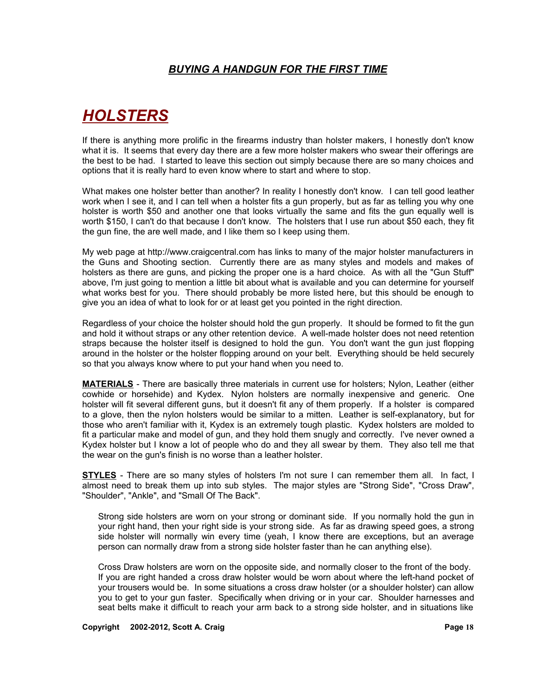# *HOLSTERS*

If there is anything more prolific in the firearms industry than holster makers, I honestly don't know what it is. It seems that every day there are a few more holster makers who swear their offerings are the best to be had. I started to leave this section out simply because there are so many choices and options that it is really hard to even know where to start and where to stop.

What makes one holster better than another? In reality I honestly don't know. I can tell good leather work when I see it, and I can tell when a holster fits a gun properly, but as far as telling you why one holster is worth \$50 and another one that looks virtually the same and fits the gun equally well is worth \$150, I can't do that because I don't know. The holsters that I use run about \$50 each, they fit the gun fine, the are well made, and I like them so I keep using them.

My web page at http://www.craigcentral.com has links to many of the major holster manufacturers in the Guns and Shooting section. Currently there are as many styles and models and makes of holsters as there are guns, and picking the proper one is a hard choice. As with all the "Gun Stuff" above, I'm just going to mention a little bit about what is available and you can determine for yourself what works best for you. There should probably be more listed here, but this should be enough to give you an idea of what to look for or at least get you pointed in the right direction.

Regardless of your choice the holster should hold the gun properly. It should be formed to fit the gun and hold it without straps or any other retention device. A well-made holster does not need retention straps because the holster itself is designed to hold the gun. You don't want the gun just flopping around in the holster or the holster flopping around on your belt. Everything should be held securely so that you always know where to put your hand when you need to.

**MATERIALS** - There are basically three materials in current use for holsters; Nylon, Leather (either cowhide or horsehide) and Kydex. Nylon holsters are normally inexpensive and generic. One holster will fit several different guns, but it doesn't fit any of them properly. If a holster is compared to a glove, then the nylon holsters would be similar to a mitten. Leather is self-explanatory, but for those who aren't familiar with it, Kydex is an extremely tough plastic. Kydex holsters are molded to fit a particular make and model of gun, and they hold them snugly and correctly. I've never owned a Kydex holster but I know a lot of people who do and they all swear by them. They also tell me that the wear on the gun's finish is no worse than a leather holster.

**STYLES** - There are so many styles of holsters I'm not sure I can remember them all. In fact, I almost need to break them up into sub styles. The major styles are "Strong Side", "Cross Draw", "Shoulder", "Ankle", and "Small Of The Back".

Strong side holsters are worn on your strong or dominant side. If you normally hold the gun in your right hand, then your right side is your strong side. As far as drawing speed goes, a strong side holster will normally win every time (yeah, I know there are exceptions, but an average person can normally draw from a strong side holster faster than he can anything else).

Cross Draw holsters are worn on the opposite side, and normally closer to the front of the body. If you are right handed a cross draw holster would be worn about where the left-hand pocket of your trousers would be. In some situations a cross draw holster (or a shoulder holster) can allow you to get to your gun faster. Specifically when driving or in your car. Shoulder harnesses and seat belts make it difficult to reach your arm back to a strong side holster, and in situations like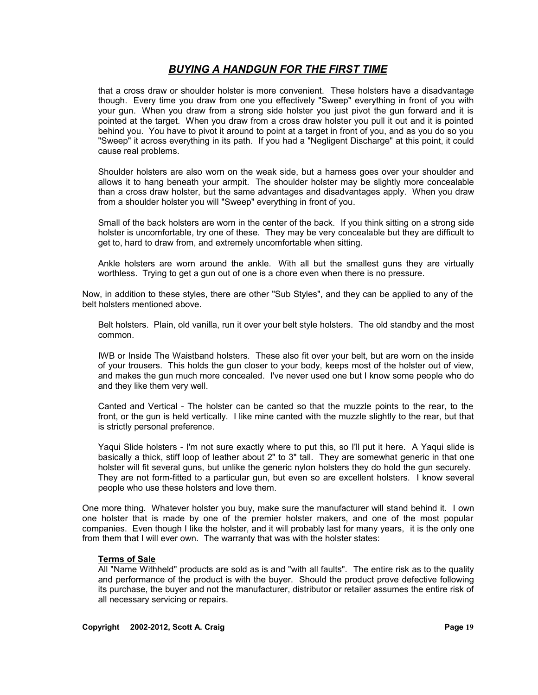that a cross draw or shoulder holster is more convenient. These holsters have a disadvantage though. Every time you draw from one you effectively "Sweep" everything in front of you with your gun. When you draw from a strong side holster you just pivot the gun forward and it is pointed at the target. When you draw from a cross draw holster you pull it out and it is pointed behind you. You have to pivot it around to point at a target in front of you, and as you do so you "Sweep" it across everything in its path. If you had a "Negligent Discharge" at this point, it could cause real problems.

Shoulder holsters are also worn on the weak side, but a harness goes over your shoulder and allows it to hang beneath your armpit. The shoulder holster may be slightly more concealable than a cross draw holster, but the same advantages and disadvantages apply. When you draw from a shoulder holster you will "Sweep" everything in front of you.

Small of the back holsters are worn in the center of the back. If you think sitting on a strong side holster is uncomfortable, try one of these. They may be very concealable but they are difficult to get to, hard to draw from, and extremely uncomfortable when sitting.

Ankle holsters are worn around the ankle. With all but the smallest guns they are virtually worthless. Trying to get a gun out of one is a chore even when there is no pressure.

Now, in addition to these styles, there are other "Sub Styles", and they can be applied to any of the belt holsters mentioned above.

Belt holsters. Plain, old vanilla, run it over your belt style holsters. The old standby and the most common.

IWB or Inside The Waistband holsters. These also fit over your belt, but are worn on the inside of your trousers. This holds the gun closer to your body, keeps most of the holster out of view, and makes the gun much more concealed. I've never used one but I know some people who do and they like them very well.

Canted and Vertical - The holster can be canted so that the muzzle points to the rear, to the front, or the gun is held vertically. I like mine canted with the muzzle slightly to the rear, but that is strictly personal preference.

Yaqui Slide holsters - I'm not sure exactly where to put this, so I'll put it here. A Yaqui slide is basically a thick, stiff loop of leather about 2" to 3" tall. They are somewhat generic in that one holster will fit several guns, but unlike the generic nylon holsters they do hold the gun securely. They are not form-fitted to a particular gun, but even so are excellent holsters. I know several people who use these holsters and love them.

One more thing. Whatever holster you buy, make sure the manufacturer will stand behind it. I own one holster that is made by one of the premier holster makers, and one of the most popular companies. Even though I like the holster, and it will probably last for many years, it is the only one from them that I will ever own. The warranty that was with the holster states:

#### **Terms of Sale**

All "Name Withheld" products are sold as is and "with all faults". The entire risk as to the quality and performance of the product is with the buyer. Should the product prove defective following its purchase, the buyer and not the manufacturer, distributor or retailer assumes the entire risk of all necessary servicing or repairs.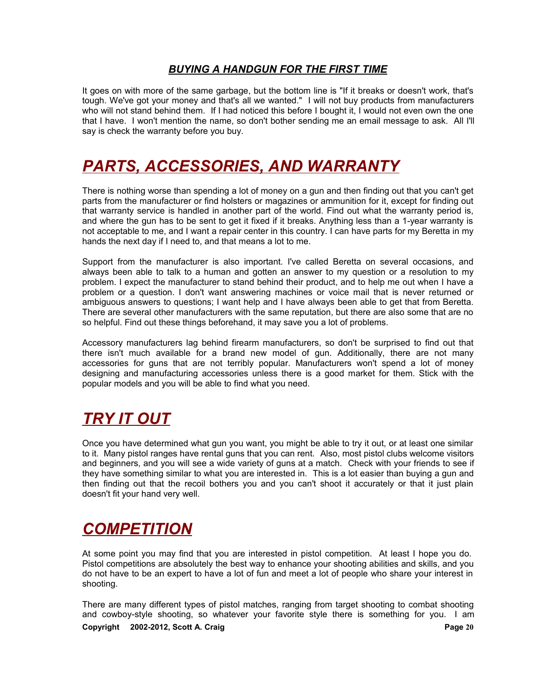It goes on with more of the same garbage, but the bottom line is "If it breaks or doesn't work, that's tough. We've got your money and that's all we wanted." I will not buy products from manufacturers who will not stand behind them. If I had noticed this before I bought it, I would not even own the one that I have. I won't mention the name, so don't bother sending me an email message to ask. All I'll say is check the warranty before you buy.

# *PARTS, ACCESSORIES, AND WARRANTY*

There is nothing worse than spending a lot of money on a gun and then finding out that you can't get parts from the manufacturer or find holsters or magazines or ammunition for it, except for finding out that warranty service is handled in another part of the world. Find out what the warranty period is, and where the gun has to be sent to get it fixed if it breaks. Anything less than a 1-year warranty is not acceptable to me, and I want a repair center in this country. I can have parts for my Beretta in my hands the next day if I need to, and that means a lot to me.

Support from the manufacturer is also important. I've called Beretta on several occasions, and always been able to talk to a human and gotten an answer to my question or a resolution to my problem. I expect the manufacturer to stand behind their product, and to help me out when I have a problem or a question. I don't want answering machines or voice mail that is never returned or ambiguous answers to questions; I want help and I have always been able to get that from Beretta. There are several other manufacturers with the same reputation, but there are also some that are no so helpful. Find out these things beforehand, it may save you a lot of problems.

Accessory manufacturers lag behind firearm manufacturers, so don't be surprised to find out that there isn't much available for a brand new model of gun. Additionally, there are not many accessories for guns that are not terribly popular. Manufacturers won't spend a lot of money designing and manufacturing accessories unless there is a good market for them. Stick with the popular models and you will be able to find what you need.

# *TRY IT OUT*

Once you have determined what gun you want, you might be able to try it out, or at least one similar to it. Many pistol ranges have rental guns that you can rent. Also, most pistol clubs welcome visitors and beginners, and you will see a wide variety of guns at a match. Check with your friends to see if they have something similar to what you are interested in. This is a lot easier than buying a gun and then finding out that the recoil bothers you and you can't shoot it accurately or that it just plain doesn't fit your hand very well.

# *COMPETITION*

At some point you may find that you are interested in pistol competition. At least I hope you do. Pistol competitions are absolutely the best way to enhance your shooting abilities and skills, and you do not have to be an expert to have a lot of fun and meet a lot of people who share your interest in shooting.

There are many different types of pistol matches, ranging from target shooting to combat shooting and cowboy-style shooting, so whatever your favorite style there is something for you. I am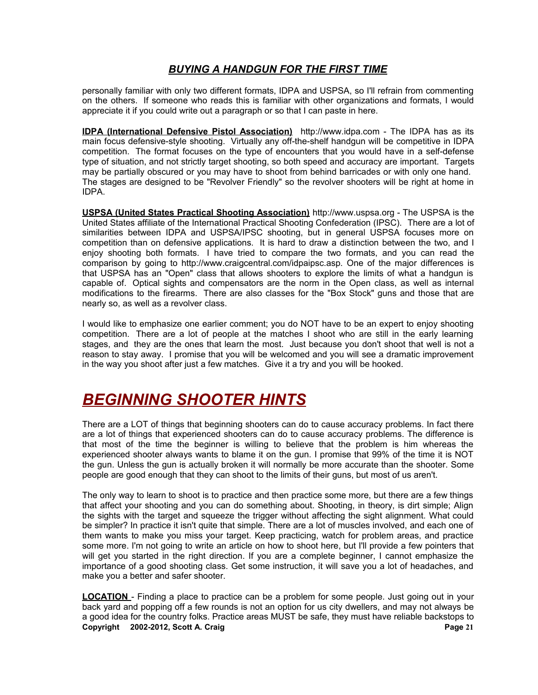personally familiar with only two different formats, IDPA and USPSA, so I'll refrain from commenting on the others. If someone who reads this is familiar with other organizations and formats, I would appreciate it if you could write out a paragraph or so that I can paste in here.

**IDPA (International Defensive Pistol Association)** http://www.idpa.com - The IDPA has as its main focus defensive-style shooting. Virtually any off-the-shelf handgun will be competitive in IDPA competition. The format focuses on the type of encounters that you would have in a self-defense type of situation, and not strictly target shooting, so both speed and accuracy are important. Targets may be partially obscured or you may have to shoot from behind barricades or with only one hand. The stages are designed to be "Revolver Friendly" so the revolver shooters will be right at home in IDPA.

**USPSA (United States Practical Shooting Association)** http://www.uspsa.org - The USPSA is the United States affiliate of the International Practical Shooting Confederation (IPSC). There are a lot of similarities between IDPA and USPSA/IPSC shooting, but in general USPSA focuses more on competition than on defensive applications. It is hard to draw a distinction between the two, and I enjoy shooting both formats. I have tried to compare the two formats, and you can read the comparison by going to http://www.craigcentral.com/idpaipsc.asp. One of the major differences is that USPSA has an "Open" class that allows shooters to explore the limits of what a handgun is capable of. Optical sights and compensators are the norm in the Open class, as well as internal modifications to the firearms. There are also classes for the "Box Stock" guns and those that are nearly so, as well as a revolver class.

I would like to emphasize one earlier comment; you do NOT have to be an expert to enjoy shooting competition. There are a lot of people at the matches I shoot who are still in the early learning stages, and they are the ones that learn the most. Just because you don't shoot that well is not a reason to stay away. I promise that you will be welcomed and you will see a dramatic improvement in the way you shoot after just a few matches. Give it a try and you will be hooked.

## *BEGINNING SHOOTER HINTS*

There are a LOT of things that beginning shooters can do to cause accuracy problems. In fact there are a lot of things that experienced shooters can do to cause accuracy problems. The difference is that most of the time the beginner is willing to believe that the problem is him whereas the experienced shooter always wants to blame it on the gun. I promise that 99% of the time it is NOT the gun. Unless the gun is actually broken it will normally be more accurate than the shooter. Some people are good enough that they can shoot to the limits of their guns, but most of us aren't.

The only way to learn to shoot is to practice and then practice some more, but there are a few things that affect your shooting and you can do something about. Shooting, in theory, is dirt simple; Align the sights with the target and squeeze the trigger without affecting the sight alignment. What could be simpler? In practice it isn't quite that simple. There are a lot of muscles involved, and each one of them wants to make you miss your target. Keep practicing, watch for problem areas, and practice some more. I'm not going to write an article on how to shoot here, but I'll provide a few pointers that will get you started in the right direction. If you are a complete beginner, I cannot emphasize the importance of a good shooting class. Get some instruction, it will save you a lot of headaches, and make you a better and safer shooter.

**LOCATION** - Finding a place to practice can be a problem for some people. Just going out in your back yard and popping off a few rounds is not an option for us city dwellers, and may not always be a good idea for the country folks. Practice areas MUST be safe, they must have reliable backstops to **Copyright 2002-2012, Scott A. Craig Page 21**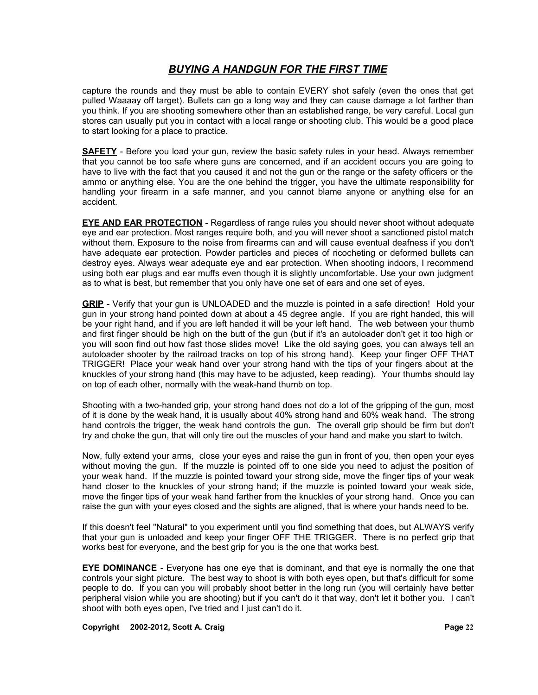capture the rounds and they must be able to contain EVERY shot safely (even the ones that get pulled Waaaay off target). Bullets can go a long way and they can cause damage a lot farther than you think. If you are shooting somewhere other than an established range, be very careful. Local gun stores can usually put you in contact with a local range or shooting club. This would be a good place to start looking for a place to practice.

**SAFETY** - Before you load your gun, review the basic safety rules in your head. Always remember that you cannot be too safe where guns are concerned, and if an accident occurs you are going to have to live with the fact that you caused it and not the gun or the range or the safety officers or the ammo or anything else. You are the one behind the trigger, you have the ultimate responsibility for handling your firearm in a safe manner, and you cannot blame anyone or anything else for an accident.

**EYE AND EAR PROTECTION** - Regardless of range rules you should never shoot without adequate eye and ear protection. Most ranges require both, and you will never shoot a sanctioned pistol match without them. Exposure to the noise from firearms can and will cause eventual deafness if you don't have adequate ear protection. Powder particles and pieces of ricocheting or deformed bullets can destroy eyes. Always wear adequate eye and ear protection. When shooting indoors, I recommend using both ear plugs and ear muffs even though it is slightly uncomfortable. Use your own judgment as to what is best, but remember that you only have one set of ears and one set of eyes.

**GRIP** - Verify that your gun is UNLOADED and the muzzle is pointed in a safe direction! Hold your gun in your strong hand pointed down at about a 45 degree angle. If you are right handed, this will be your right hand, and if you are left handed it will be your left hand. The web between your thumb and first finger should be high on the butt of the gun (but if it's an autoloader don't get it too high or you will soon find out how fast those slides move! Like the old saying goes, you can always tell an autoloader shooter by the railroad tracks on top of his strong hand). Keep your finger OFF THAT TRIGGER! Place your weak hand over your strong hand with the tips of your fingers about at the knuckles of your strong hand (this may have to be adjusted, keep reading). Your thumbs should lay on top of each other, normally with the weak-hand thumb on top.

Shooting with a two-handed grip, your strong hand does not do a lot of the gripping of the gun, most of it is done by the weak hand, it is usually about 40% strong hand and 60% weak hand. The strong hand controls the trigger, the weak hand controls the gun. The overall grip should be firm but don't try and choke the gun, that will only tire out the muscles of your hand and make you start to twitch.

Now, fully extend your arms, close your eyes and raise the gun in front of you, then open your eyes without moving the gun. If the muzzle is pointed off to one side you need to adjust the position of your weak hand. If the muzzle is pointed toward your strong side, move the finger tips of your weak hand closer to the knuckles of your strong hand; if the muzzle is pointed toward your weak side, move the finger tips of your weak hand farther from the knuckles of your strong hand. Once you can raise the gun with your eyes closed and the sights are aligned, that is where your hands need to be.

If this doesn't feel "Natural" to you experiment until you find something that does, but ALWAYS verify that your gun is unloaded and keep your finger OFF THE TRIGGER. There is no perfect grip that works best for everyone, and the best grip for you is the one that works best.

**EYE DOMINANCE** - Everyone has one eye that is dominant, and that eye is normally the one that controls your sight picture. The best way to shoot is with both eyes open, but that's difficult for some people to do. If you can you will probably shoot better in the long run (you will certainly have better peripheral vision while you are shooting) but if you can't do it that way, don't let it bother you. I can't shoot with both eyes open, I've tried and I just can't do it.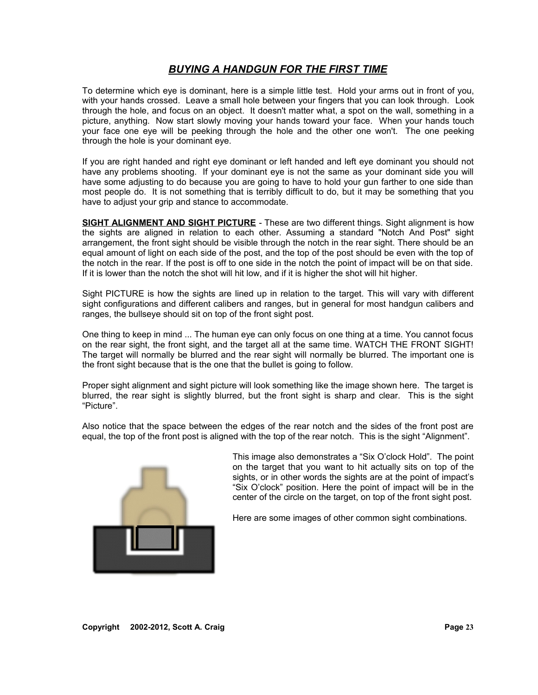To determine which eye is dominant, here is a simple little test. Hold your arms out in front of you, with your hands crossed. Leave a small hole between your fingers that you can look through. Look through the hole, and focus on an object. It doesn't matter what, a spot on the wall, something in a picture, anything. Now start slowly moving your hands toward your face. When your hands touch your face one eye will be peeking through the hole and the other one won't. The one peeking through the hole is your dominant eye.

If you are right handed and right eye dominant or left handed and left eye dominant you should not have any problems shooting. If your dominant eye is not the same as your dominant side you will have some adjusting to do because you are going to have to hold your gun farther to one side than most people do. It is not something that is terribly difficult to do, but it may be something that you have to adjust your grip and stance to accommodate.

**SIGHT ALIGNMENT AND SIGHT PICTURE** - These are two different things. Sight alignment is how the sights are aligned in relation to each other. Assuming a standard "Notch And Post" sight arrangement, the front sight should be visible through the notch in the rear sight. There should be an equal amount of light on each side of the post, and the top of the post should be even with the top of the notch in the rear. If the post is off to one side in the notch the point of impact will be on that side. If it is lower than the notch the shot will hit low, and if it is higher the shot will hit higher.

Sight PICTURE is how the sights are lined up in relation to the target. This will vary with different sight configurations and different calibers and ranges, but in general for most handgun calibers and ranges, the bullseye should sit on top of the front sight post.

One thing to keep in mind ... The human eye can only focus on one thing at a time. You cannot focus on the rear sight, the front sight, and the target all at the same time. WATCH THE FRONT SIGHT! The target will normally be blurred and the rear sight will normally be blurred. The important one is the front sight because that is the one that the bullet is going to follow.

Proper sight alignment and sight picture will look something like the image shown here. The target is blurred, the rear sight is slightly blurred, but the front sight is sharp and clear. This is the sight "Picture".

Also notice that the space between the edges of the rear notch and the sides of the front post are equal, the top of the front post is aligned with the top of the rear notch. This is the sight "Alignment".



This image also demonstrates a "Six O'clock Hold". The point on the target that you want to hit actually sits on top of the sights, or in other words the sights are at the point of impact's "Six O'clock" position. Here the point of impact will be in the center of the circle on the target, on top of the front sight post.

Here are some images of other common sight combinations.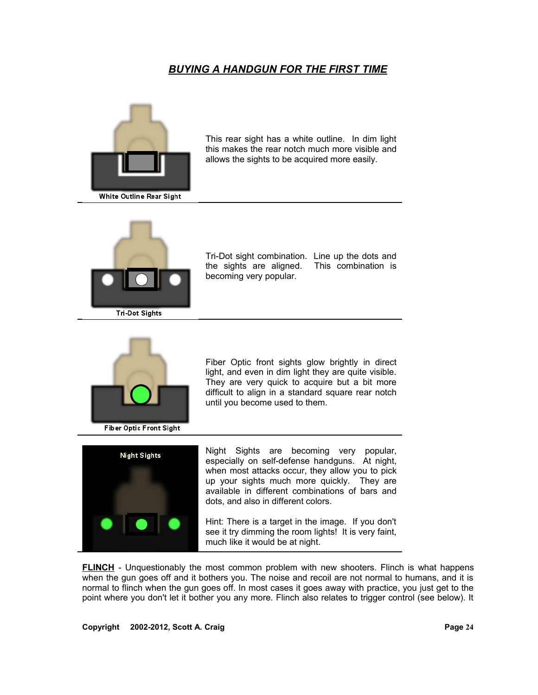

This rear sight has a white outline. In dim light this makes the rear notch much more visible and allows the sights to be acquired more easily.



Tri-Dot sight combination. Line up the dots and the sights are aligned. This combination is becoming very popular.



**Fiber Optic Front Sight** 

Fiber Optic front sights glow brightly in direct light, and even in dim light they are quite visible. They are very quick to acquire but a bit more difficult to align in a standard square rear notch until you become used to them.



Night Sights are becoming very popular, especially on self-defense handguns. At night, when most attacks occur, they allow you to pick up your sights much more quickly. They are available in different combinations of bars and dots, and also in different colors.

Hint: There is a target in the image. If you don't see it try dimming the room lights! It is very faint, much like it would be at night.

**FLINCH** - Unquestionably the most common problem with new shooters. Flinch is what happens when the gun goes off and it bothers you. The noise and recoil are not normal to humans, and it is normal to flinch when the gun goes off. In most cases it goes away with practice, you just get to the point where you don't let it bother you any more. Flinch also relates to trigger control (see below). It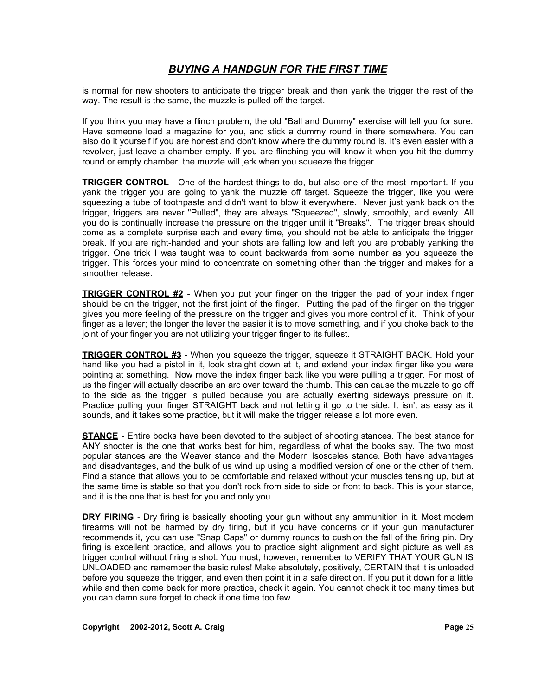is normal for new shooters to anticipate the trigger break and then yank the trigger the rest of the way. The result is the same, the muzzle is pulled off the target.

If you think you may have a flinch problem, the old "Ball and Dummy" exercise will tell you for sure. Have someone load a magazine for you, and stick a dummy round in there somewhere. You can also do it yourself if you are honest and don't know where the dummy round is. It's even easier with a revolver, just leave a chamber empty. If you are flinching you will know it when you hit the dummy round or empty chamber, the muzzle will jerk when you squeeze the trigger.

**TRIGGER CONTROL** - One of the hardest things to do, but also one of the most important. If you yank the trigger you are going to yank the muzzle off target. Squeeze the trigger, like you were squeezing a tube of toothpaste and didn't want to blow it everywhere. Never just yank back on the trigger, triggers are never "Pulled", they are always "Squeezed", slowly, smoothly, and evenly. All you do is continually increase the pressure on the trigger until it "Breaks". The trigger break should come as a complete surprise each and every time, you should not be able to anticipate the trigger break. If you are right-handed and your shots are falling low and left you are probably yanking the trigger. One trick I was taught was to count backwards from some number as you squeeze the trigger. This forces your mind to concentrate on something other than the trigger and makes for a smoother release.

**TRIGGER CONTROL #2** - When you put your finger on the trigger the pad of your index finger should be on the trigger, not the first joint of the finger. Putting the pad of the finger on the trigger gives you more feeling of the pressure on the trigger and gives you more control of it. Think of your finger as a lever; the longer the lever the easier it is to move something, and if you choke back to the joint of your finger you are not utilizing your trigger finger to its fullest.

**TRIGGER CONTROL #3** - When you squeeze the trigger, squeeze it STRAIGHT BACK. Hold your hand like you had a pistol in it, look straight down at it, and extend your index finger like you were pointing at something. Now move the index finger back like you were pulling a trigger. For most of us the finger will actually describe an arc over toward the thumb. This can cause the muzzle to go off to the side as the trigger is pulled because you are actually exerting sideways pressure on it. Practice pulling your finger STRAIGHT back and not letting it go to the side. It isn't as easy as it sounds, and it takes some practice, but it will make the trigger release a lot more even.

**STANCE** - Entire books have been devoted to the subject of shooting stances. The best stance for ANY shooter is the one that works best for him, regardless of what the books say. The two most popular stances are the Weaver stance and the Modern Isosceles stance. Both have advantages and disadvantages, and the bulk of us wind up using a modified version of one or the other of them. Find a stance that allows you to be comfortable and relaxed without your muscles tensing up, but at the same time is stable so that you don't rock from side to side or front to back. This is your stance, and it is the one that is best for you and only you.

**DRY FIRING** - Dry firing is basically shooting your gun without any ammunition in it. Most modern firearms will not be harmed by dry firing, but if you have concerns or if your gun manufacturer recommends it, you can use "Snap Caps" or dummy rounds to cushion the fall of the firing pin. Dry firing is excellent practice, and allows you to practice sight alignment and sight picture as well as trigger control without firing a shot. You must, however, remember to VERIFY THAT YOUR GUN IS UNLOADED and remember the basic rules! Make absolutely, positively, CERTAIN that it is unloaded before you squeeze the trigger, and even then point it in a safe direction. If you put it down for a little while and then come back for more practice, check it again. You cannot check it too many times but you can damn sure forget to check it one time too few.